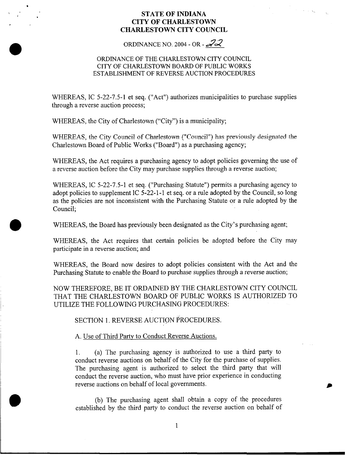# **STATE OF INDIANA CITY OF CHARLESTOWN CHARLESTOWN CITY COUNCIL**

ORDINANCE NO. 2004 - OR - *22* 

# ORDINANCE OF THE CHARLESTOWN CITY COUNCIL CITY OF CHARLESTOWN BOARD OF PUBLIC WORKS ESTABLISHMENT OF REVERSE AUCTION PROCEDURES

WHEREAS, IC 5-22-7.5-1 et seq. ("Act") authorizes municipalities to purchase supplies through a reverse auction process;

WHEREAS, the City of Charlestown ("City") is a municipality;

WHEREAS, the City Council of Charlestown ("Council") has previously designated the Charlestown Board of Public Works ("Board") as a purchasing agency;

WHEREAS, the Act requires a purchasing agency to adopt policies governing the use of a reverse auction before the City may purchase supplies through a reverse auction;

WHEREAS, 1C 5-22-7.5-1 et seq. ("Purchasing Statute") permits a purchasing agency to adopt policies to supplement 1C 5-22-1-1 et seq. or a rule adopted by the Council, so long as the policies are not inconsistent with the Purchasing Statute or a rule adopted by the Council;

WHEREAS, the Board has previously been designated as the City's purchasing agent;

WHEREAS, the Act requires that certain policies be adopted before the City may participate in a reverse auction; and

WHEREAS, the Board now desires to adopt policies consistent with the Act and the Purchasing Statute to enable the Board to purchase supplies through a reverse auction;

NOW THEREFORE, BE IT ORDAINED BY THE CHARLESTOWN CITY COUNCIL THAT THE CHARLESTOWN BOARD OF PUBLIC WORKS IS AUTHORIZED TO UTILIZE THE FOLLOWING PURCHASING PROCEDURES:

SECTION 1. REVERSE AUCTION PROCEDURES.

A. Use of Third Party to Conduct Reverse Auctions.

1. (a) The purchasing agency is authorized to use a third party to conduct reverse auctions on behalf of the City for the purchase of supplies. The purchasing agent is authorized to select the third party that will conduct the reverse auction, who must have prior experience in conducting reverse auctions on behalf of local governments.

(b) The purchasing agent shall obtain a copy of the procedures established by the third party to conduct the reverse auction on behalf of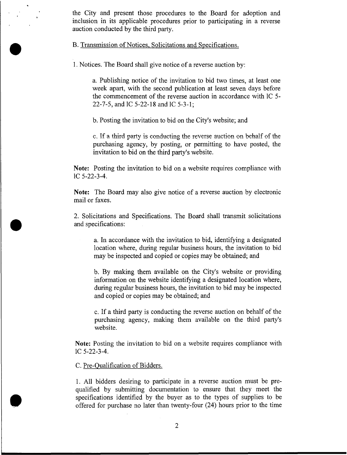the City and present those procedures to the Board for adoption and inclusion in its applicable procedures prior to participating in a reverse auction conducted by the third party.

B. Transmission of Notices, Solicitations and Specifications.

1. Notices. The Board shall give notice of a reverse auction by:

a. Publishing notice of the invitation to bid two times, at least one week apart, with the second publication at least seven days before the commencement of the reverse auction in accordance with 1C *5-*  22-7-5, and 1C 5-22-18 and 1C 5-3-1;

b. Posting the invitation to bid on the City's website; and

*c.* If a third **party** is conducting the reverse auction on behalf of the purchasing agency, by posting, or permitting to have posted, the invitation to bid on the third party's website.

**Note:** Posting the invitation to bid on a website requires compliance with 1C 5-22-3-4.

**Note:** The Board may also give notice of a reverse auction by electronic mail or faxes.

2. Solicitations and Specifications. The Board shall transmit solicitations and specifications:

a. In accordance with the invitation to bid, identifying a designated location where, during regular business hours, the invitation to bid may be inspected and copied or copies may be obtained; and

b. By making them available on the City's website or providing information on the website identifying a designated location where, during regular business hours, the invitation to bid may be inspected and copied or copies may be obtained; and

c. If a third party is conducting the reverse auction on behalf of the purchasing agency, making them available on the third party's website.

**Note:** Posting the invitation to bid on a website requires compliance with 1C 5-22-3-4.

C. Pre-Qualification of Bidders.

1. All bidders desiring to participate in a reverse auction must be prequalified by submitting documentation to ensure that they meet the specifications identified by the buyer as to the types of supplies to be offered for purchase no later than twenty-four (24) hours prior to the time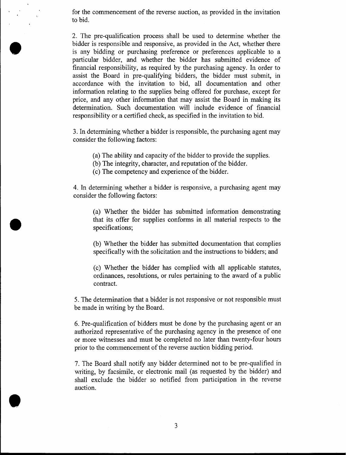for the commencement of the reverse auction, as provided in the invitation to bid.

2. The pre-qualification process shall be used to determine whether the bidder is responsible and responsive, as provided in the Act, whether there is any bidding or purchasing preference or preferences applicable to a particular bidder, and whether the bidder has submitted evidence of financial responsibility, as required by the purchasing agency. In order to assist the Board in pre-qualifying bidders, the bidder must submit, in accordance with the invitation to bid, all documentation and other information relating to the supplies being offered for purchase, except for price, and any other information that may assist the Board in making its determination. Such documentation will include evidence of financial responsibility or a certified check, as specified in the invitation to bid.

3. In determining whether a bidder is responsible, the purchasing agent may consider the following factors:

- (a) The ability and capacity of the bidder to provide the supplies.
- (b) The integrity, character, and reputation of the bidder.
- (c) The competency and experience of the bidder.

4. In determining whether a bidder is responsive, a purchasing agent may consider the following factors:

(a) Whether the bidder has submitted information demonstrating that its offer for supplies conforms in all material respects to the specifications;

(b) Whether the bidder has submitted documentation that complies specifically with the solicitation and the instructions to bidders; and

(c) Whether the bidder has complied with all applicable statutes, ordinances, resolutions, or rules pertaining to the award of a public contract.

5. The determination that a bidder is not responsive or not responsible must be made in writing by the Board.

6. Pre-qualification of bidders must be done by the purchasing agent or an authorized representative of the purchasing agency in the presence of one or more witnesses and must be completed no later than twenty-four hours prior to the commencement of the reverse auction bidding period.

7. The Board shall notify any bidder determined not to be pre-qualified in writing, by facsimile, or electronic mail (as requested by the bidder) and shall exclude the bidder so notified from participation in the reverse auction.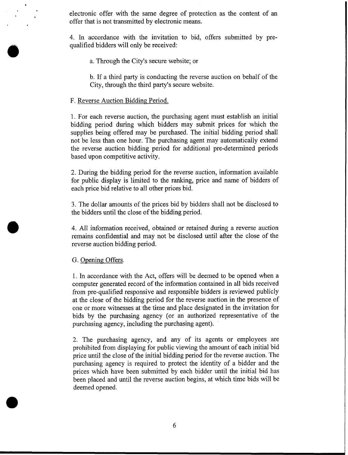electronic offer with the same degree of protection as the content of an offer that is not transmitted by electronic means.

4. In accordance with the invitation to bid, offers submitted by prequalified bidders will only be received:

a. Through the City's secure website; or

b. If a third party is conducting the reverse auction on behalf of the City, through the third party's secure website.

### F. Reverse Auction Bidding Period.

1. For each reverse auction, the purchasing agent must establish an initial bidding period during which bidders may submit prices for which the supplies being offered may be purchased. The initial bidding period shall not be less than one hour. The purchasing agent may automatically extend the reverse auction bidding period for additional pre-determined periods based upon competitive activity.

2. During the bidding period for the reverse auction, information available for public display is limited to the ranking, price and name of bidders of each price bid relative to all other prices bid.

3. The dollar amounts of the prices bid by bidders shall not be disclosed to the bidders until the close of the bidding period.

4. All information received, obtained or retained during a reverse auction remains confidential and may not be disclosed until after the close of the reverse auction bidding period.

### G. Opening Offers.

1. In accordance with the Act, offers will be deemed to be opened when a computer generated record of the information contained in all bids received from pre-qualified responsive and responsible bidders is reviewed publicly at the close of the bidding period for the reverse auction in the presence of one or more witnesses at the time and place designated in the invitation for bids by the purchasing agency (or an authorized representative of the purchasing agency, including the purchasing agent).

2. The purchasing agency, and any of its agents or employees are prohibited from displaying for public viewing the amount of each initial bid price until the close of the initial bidding period for the reverse auction. The purchasing agency is required to protect the identity of a bidder and the prices which have been submitted by each bidder until the initial bid has been placed and until the reverse auction begins, at which time bids will be deemed opened.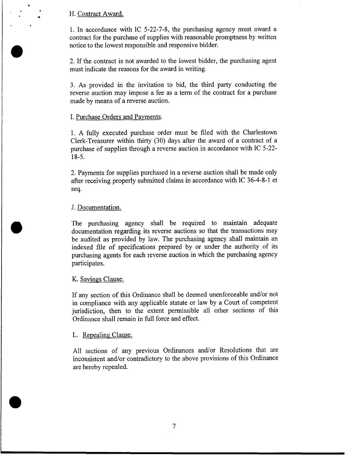# H. Contract Award.

1. In accordance with 1C 5-22-7-8, the purchasing agency must award a contract for the purchase of supplies with reasonable promptness by written notice to the lowest responsible and responsive bidder.

2. If the contract is not awarded to the lowest bidder, the purchasing agent must indicate the reasons for the award in writing.

*3.* As provided in the invitation to bid, the third party conducting the reverse auction may impose a fee as a term of the contract for a purchase made by means of a reverse auction.

### I. Purchase Orders and Payments.

1. **A** fully executed purchase order must be filed with the Charlestown Clerk-Treasurer within thirty **(30)** days after the award of a contract of a purchase of supplies through a reverse auction in accordance with 1C 5-22- 18-5.

2. Payments for supplies purchased in a reverse auction shall be made only after receiving properly submitted claims in accordance with 1C 36-4-8-1 et seq.

## J. Documentation.

The purchasing agency shall be required to maintain adequate documentation regarding its reverse auctions so that the transactions may be audited as provided by law. The purchasing agency shall maintain an indexed file of specifications prepared by or under the authority of its purchasing agents for each reverse auction in which the purchasing agency participates.

### K. Savings Clause.

If any section of this Ordinance shall be deemed unenforceable and/or not in compliance with any applicable statute or law by a Court of competent jurisdiction, then to the extent permissible all other sections of this Ordinance shall remain in full force and effect.

#### L. Repealing Clause.

All sections of any previous Ordinances and/or Resolutions that are inconsistent and/or contradictory to the above provisions of this Ordinance are hereby repealed.